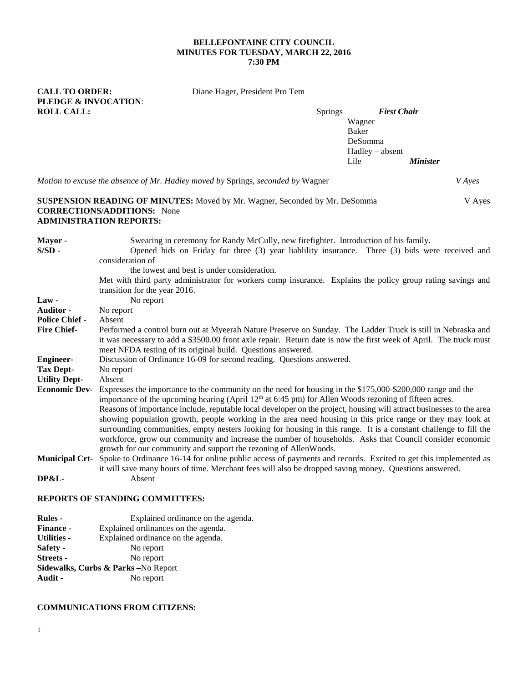#### **BELLEFONTAINE CITY COUNCIL MINUTES FOR TUESDAY, MARCH 22, 2016 7:30 PM**

Diane Hager, President Pro Tem

| <b>CALL TO ORDER:</b>           | Diane Hager, President Pro Tem |                    |
|---------------------------------|--------------------------------|--------------------|
| <b>PLEDGE &amp; INVOCATION:</b> |                                |                    |
| <b>ROLL CALL:</b>               | <b>Springs</b>                 | <b>First Chair</b> |

Wagner Baker DeSomma Hadley – absent Lile *Minister*

*Motion to excuse the absence of Mr. Hadley moved by* Springs, *seconded by* Wagner *V Ayes* **SUSPENSION READING OF MINUTES:** Moved by Mr. Wagner, Seconded by Mr. DeSomma V Ayes **CORRECTIONS/ADDITIONS:** None **ADMINISTRATION REPORTS: Mayor -** Swearing in ceremony for Randy McCully, new firefighter. Introduction of his family. **S/SD -** Opened bids on Friday for three (3) year liablility insurance. Three (3) bids were received and consideration of the lowest and best is under consideration. Met with third party administrator for workers comp insurance. Explains the policy group rating savings and transition for the year 2016. Law - No report **Auditor -** No report **Police Chief -** Absent<br>**Fire Chief-** Perform **Fire Chief-** Performed a control burn out at Myeerah Nature Preserve on Sunday. The Ladder Truck is still in Nebraska and it was necessary to add a \$3500.00 front axle repair. Return date is now the first week of April. The truck must meet NFDA testing of its original build. Questions answered. **Engineer-** Discussion of Ordinance 16-09 for second reading. Questions answered. **Tax Dept-** No report **Utility Dept-** Absent Expresses the importance to the community on the need for housing in the \$175,000-\$200,000 range and the importance of the upcoming hearing (April 12<sup>th</sup> at 6:45 pm) for Allen Woods rezoning of fifteen acres. Reasons of importance include, reputable local developer on the project, housing will attract businesses to the area showing population growth, people working in the area need housing in this price range or they may look at surrounding communities, empty nesters looking for housing in this range. It is a constant challenge to fill the workforce, grow our community and increase the number of households. Asks that Council consider economic growth for our community and support the rezoning of AllenWoods. **Municipal Crt-** Spoke to Ordinance 16-14 for online public access of payments and records. Excited to get this implemented as it will save many hours of time. Merchant fees will also be dropped saving money. Questions answered. **DP&L-** Absent **REPORTS OF STANDING COMMITTEES:**

# **Rules -** Explained ordinance on the agenda. **Finance -** Explained ordinances on the agenda. **Utilities -** Explained ordinance on the agenda. Safety - No report **Streets -** No report **Sidewalks, Curbs & Parks –**No Report **Audit -** No report

# **COMMUNICATIONS FROM CITIZENS:**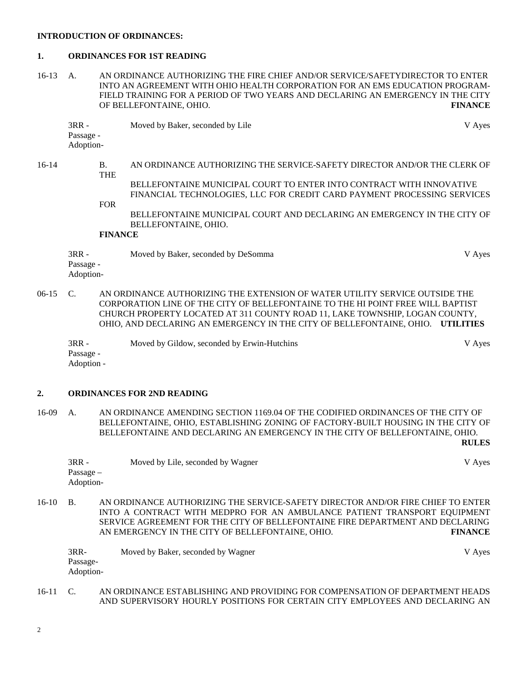#### **INTRODUCTION OF ORDINANCES:**

#### **1. ORDINANCES FOR 1ST READING**

16-13 A. AN ORDINANCE AUTHORIZING THE FIRE CHIEF AND/OR SERVICE/SAFETYDIRECTOR TO ENTER INTO AN AGREEMENT WITH OHIO HEALTH CORPORATION FOR AN EMS EDUCATION PROGRAM-FIELD TRAINING FOR A PERIOD OF TWO YEARS AND DECLARING AN EMERGENCY IN THE CITY OF BELLEFONTAINE. OHIO. OF BELLEFONTAINE, OHIO.

3RR - Moved by Baker, seconded by Lile V Ayes Passage - Adoption-

16-14 B. AN ORDINANCE AUTHORIZING THE SERVICE-SAFETY DIRECTOR AND/OR THE CLERK OF THE BELLEFONTAINE MUNICIPAL COURT TO ENTER INTO CONTRACT WITH INNOVATIVE FINANCIAL TECHNOLOGIES, LLC FOR CREDIT CARD PAYMENT PROCESSING SERVICES FOR

> BELLEFONTAINE MUNICIPAL COURT AND DECLARING AN EMERGENCY IN THE CITY OF BELLEFONTAINE, OHIO.

## **FINANCE**

3RR - Moved by Baker, seconded by DeSomma V Ayes Passage - Adoption-

06-15 C. AN ORDINANCE AUTHORIZING THE EXTENSION OF WATER UTILITY SERVICE OUTSIDE THE CORPORATION LINE OF THE CITY OF BELLEFONTAINE TO THE HI POINT FREE WILL BAPTIST CHURCH PROPERTY LOCATED AT 311 COUNTY ROAD 11, LAKE TOWNSHIP, LOGAN COUNTY, OHIO, AND DECLARING AN EMERGENCY IN THE CITY OF BELLEFONTAINE, OHIO. **UTILITIES**

3RR - Moved by Gildow, seconded by Erwin-Hutchins V Ayes Passage - Adoption -

## **2. ORDINANCES FOR 2ND READING**

16-09 A. AN ORDINANCE AMENDING SECTION 1169.04 OF THE CODIFIED ORDINANCES OF THE CITY OF BELLEFONTAINE, OHIO, ESTABLISHING ZONING OF FACTORY-BUILT HOUSING IN THE CITY OF BELLEFONTAINE AND DECLARING AN EMERGENCY IN THE CITY OF BELLEFONTAINE, OHIO. **RULES**

| 3RR -     | Moved by Lile, seconded by Wagner | V Ayes |
|-----------|-----------------------------------|--------|
| Passage – |                                   |        |
| Adoption- |                                   |        |

16-10 B. AN ORDINANCE AUTHORIZING THE SERVICE-SAFETY DIRECTOR AND/OR FIRE CHIEF TO ENTER INTO A CONTRACT WITH MEDPRO FOR AN AMBULANCE PATIENT TRANSPORT EQUIPMENT SERVICE AGREEMENT FOR THE CITY OF BELLEFONTAINE FIRE DEPARTMENT AND DECLARING AN EMERGENCY IN THE CITY OF BELLEFONTAINE, OHIO. **FINANCE**

| 3RR-      | Moved by Baker, seconded by Wagner | V Ayes |
|-----------|------------------------------------|--------|
| Passage-  |                                    |        |
| Adoption- |                                    |        |

16-11 C. AN ORDINANCE ESTABLISHING AND PROVIDING FOR COMPENSATION OF DEPARTMENT HEADS AND SUPERVISORY HOURLY POSITIONS FOR CERTAIN CITY EMPLOYEES AND DECLARING AN